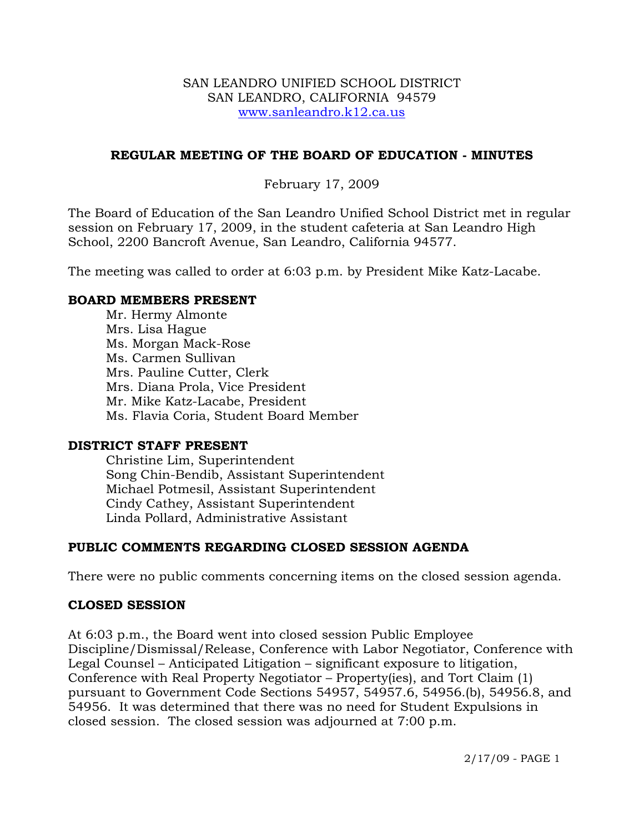#### SAN LEANDRO UNIFIED SCHOOL DISTRICT SAN LEANDRO, CALIFORNIA 94579 www.sanleandro.k12.ca.us

### **REGULAR MEETING OF THE BOARD OF EDUCATION - MINUTES**

## February 17, 2009

The Board of Education of the San Leandro Unified School District met in regular session on February 17, 2009, in the student cafeteria at San Leandro High School, 2200 Bancroft Avenue, San Leandro, California 94577.

The meeting was called to order at 6:03 p.m. by President Mike Katz-Lacabe.

#### **BOARD MEMBERS PRESENT**

Mr. Hermy Almonte Mrs. Lisa Hague Ms. Morgan Mack-Rose Ms. Carmen Sullivan Mrs. Pauline Cutter, Clerk Mrs. Diana Prola, Vice President Mr. Mike Katz-Lacabe, President Ms. Flavia Coria, Student Board Member

## **DISTRICT STAFF PRESENT**

Christine Lim, Superintendent Song Chin-Bendib, Assistant Superintendent Michael Potmesil, Assistant Superintendent Cindy Cathey, Assistant Superintendent Linda Pollard, Administrative Assistant

## **PUBLIC COMMENTS REGARDING CLOSED SESSION AGENDA**

There were no public comments concerning items on the closed session agenda.

## **CLOSED SESSION**

At 6:03 p.m., the Board went into closed session Public Employee Discipline/Dismissal/Release, Conference with Labor Negotiator, Conference with Legal Counsel – Anticipated Litigation – significant exposure to litigation, Conference with Real Property Negotiator – Property(ies), and Tort Claim (1) pursuant to Government Code Sections 54957, 54957.6, 54956.(b), 54956.8, and 54956. It was determined that there was no need for Student Expulsions in closed session. The closed session was adjourned at 7:00 p.m.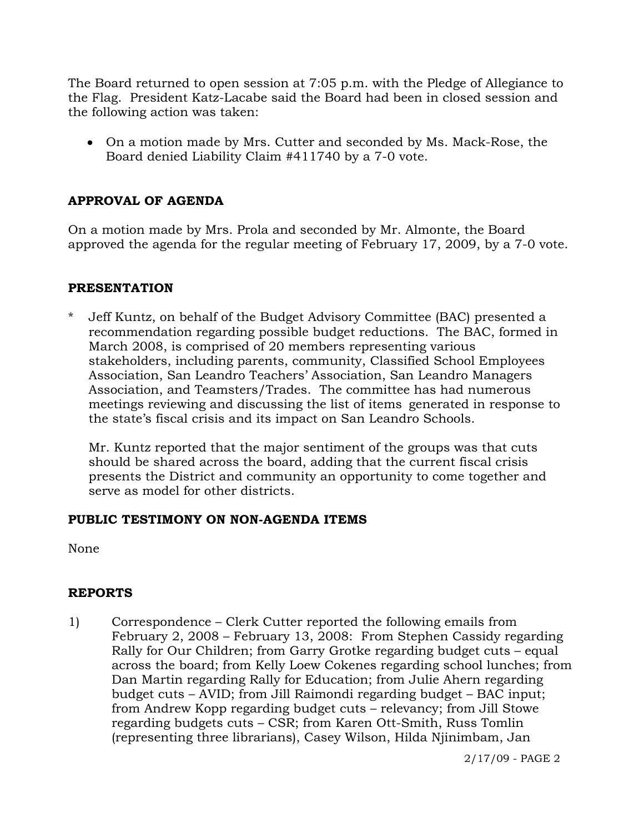The Board returned to open session at 7:05 p.m. with the Pledge of Allegiance to the Flag. President Katz-Lacabe said the Board had been in closed session and the following action was taken:

• On a motion made by Mrs. Cutter and seconded by Ms. Mack-Rose, the Board denied Liability Claim #411740 by a 7-0 vote.

# **APPROVAL OF AGENDA**

On a motion made by Mrs. Prola and seconded by Mr. Almonte, the Board approved the agenda for the regular meeting of February 17, 2009, by a 7-0 vote.

#### **PRESENTATION**

\* Jeff Kuntz, on behalf of the Budget Advisory Committee (BAC) presented a recommendation regarding possible budget reductions. The BAC, formed in March 2008, is comprised of 20 members representing various stakeholders, including parents, community, Classified School Employees Association, San Leandro Teachers' Association, San Leandro Managers Association, and Teamsters/Trades. The committee has had numerous meetings reviewing and discussing the list of items generated in response to the state's fiscal crisis and its impact on San Leandro Schools.

 Mr. Kuntz reported that the major sentiment of the groups was that cuts should be shared across the board, adding that the current fiscal crisis presents the District and community an opportunity to come together and serve as model for other districts.

#### **PUBLIC TESTIMONY ON NON-AGENDA ITEMS**

None

## **REPORTS**

1) Correspondence – Clerk Cutter reported the following emails from February 2, 2008 – February 13, 2008: From Stephen Cassidy regarding Rally for Our Children; from Garry Grotke regarding budget cuts – equal across the board; from Kelly Loew Cokenes regarding school lunches; from Dan Martin regarding Rally for Education; from Julie Ahern regarding budget cuts – AVID; from Jill Raimondi regarding budget – BAC input; from Andrew Kopp regarding budget cuts – relevancy; from Jill Stowe regarding budgets cuts – CSR; from Karen Ott-Smith, Russ Tomlin (representing three librarians), Casey Wilson, Hilda Njinimbam, Jan

2/17/09 - PAGE 2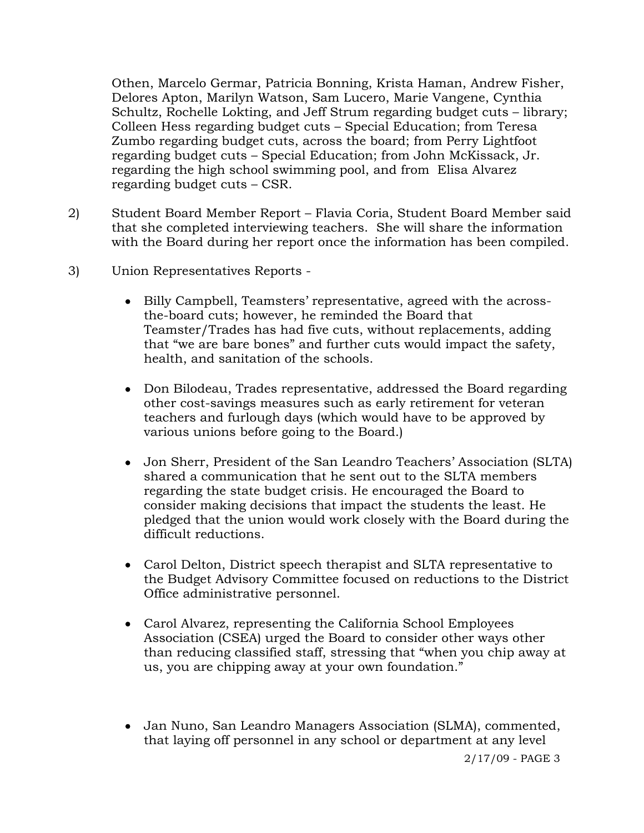Othen, Marcelo Germar, Patricia Bonning, Krista Haman, Andrew Fisher, Delores Apton, Marilyn Watson, Sam Lucero, Marie Vangene, Cynthia Schultz, Rochelle Lokting, and Jeff Strum regarding budget cuts – library; Colleen Hess regarding budget cuts – Special Education; from Teresa Zumbo regarding budget cuts, across the board; from Perry Lightfoot regarding budget cuts – Special Education; from John McKissack, Jr. regarding the high school swimming pool, and from Elisa Alvarez regarding budget cuts – CSR.

- 2) Student Board Member Report Flavia Coria, Student Board Member said that she completed interviewing teachers. She will share the information with the Board during her report once the information has been compiled.
- 3) Union Representatives Reports
	- Billy Campbell, Teamsters' representative, agreed with the acrossthe-board cuts; however, he reminded the Board that Teamster/Trades has had five cuts, without replacements, adding that "we are bare bones" and further cuts would impact the safety, health, and sanitation of the schools.
	- Don Bilodeau, Trades representative, addressed the Board regarding other cost-savings measures such as early retirement for veteran teachers and furlough days (which would have to be approved by various unions before going to the Board.)
	- Jon Sherr, President of the San Leandro Teachers' Association (SLTA) shared a communication that he sent out to the SLTA members regarding the state budget crisis. He encouraged the Board to consider making decisions that impact the students the least. He pledged that the union would work closely with the Board during the difficult reductions.
	- Carol Delton, District speech therapist and SLTA representative to the Budget Advisory Committee focused on reductions to the District Office administrative personnel.
	- Carol Alvarez, representing the California School Employees Association (CSEA) urged the Board to consider other ways other than reducing classified staff, stressing that "when you chip away at us, you are chipping away at your own foundation."
	- Jan Nuno, San Leandro Managers Association (SLMA), commented, that laying off personnel in any school or department at any level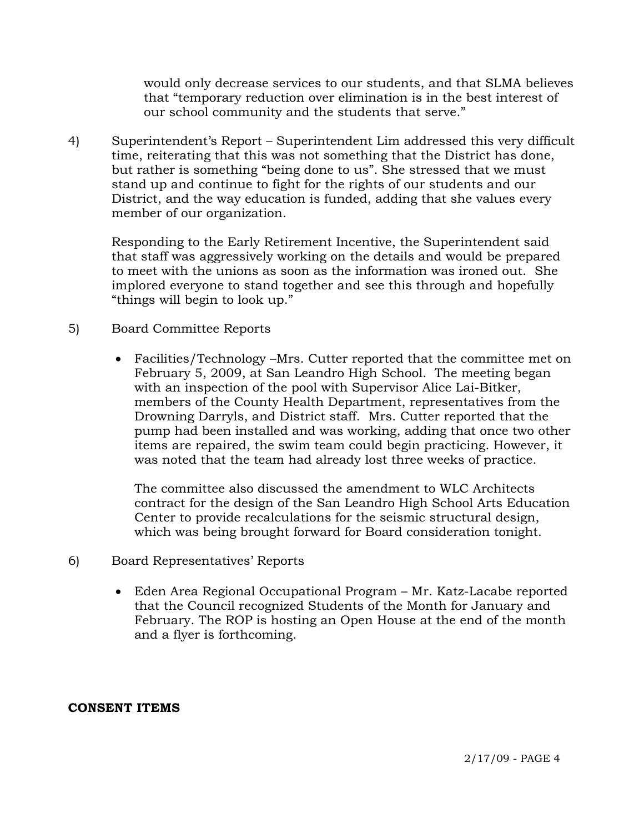would only decrease services to our students, and that SLMA believes that "temporary reduction over elimination is in the best interest of our school community and the students that serve."

4) Superintendent's Report – Superintendent Lim addressed this very difficult time, reiterating that this was not something that the District has done, but rather is something "being done to us". She stressed that we must stand up and continue to fight for the rights of our students and our District, and the way education is funded, adding that she values every member of our organization.

Responding to the Early Retirement Incentive, the Superintendent said that staff was aggressively working on the details and would be prepared to meet with the unions as soon as the information was ironed out. She implored everyone to stand together and see this through and hopefully "things will begin to look up."

- 5) Board Committee Reports
	- Facilities/Technology –Mrs. Cutter reported that the committee met on February 5, 2009, at San Leandro High School. The meeting began with an inspection of the pool with Supervisor Alice Lai-Bitker, members of the County Health Department, representatives from the Drowning Darryls, and District staff. Mrs. Cutter reported that the pump had been installed and was working, adding that once two other items are repaired, the swim team could begin practicing. However, it was noted that the team had already lost three weeks of practice.

The committee also discussed the amendment to WLC Architects contract for the design of the San Leandro High School Arts Education Center to provide recalculations for the seismic structural design, which was being brought forward for Board consideration tonight.

- 6) Board Representatives' Reports
	- Eden Area Regional Occupational Program Mr. Katz-Lacabe reported that the Council recognized Students of the Month for January and February. The ROP is hosting an Open House at the end of the month and a flyer is forthcoming.

## **CONSENT ITEMS**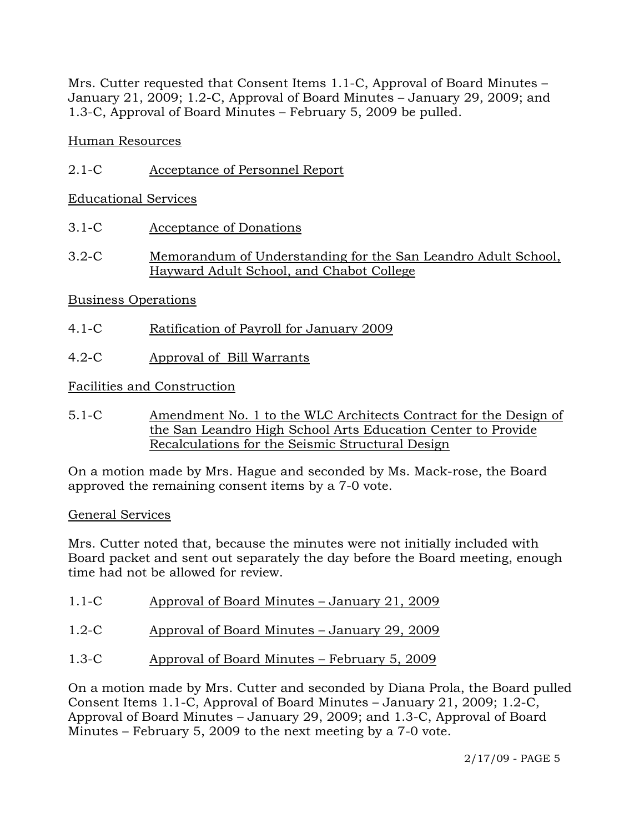Mrs. Cutter requested that Consent Items 1.1-C, Approval of Board Minutes – January 21, 2009; 1.2-C, Approval of Board Minutes – January 29, 2009; and 1.3-C, Approval of Board Minutes – February 5, 2009 be pulled.

Human Resources

2.1-C Acceptance of Personnel Report

Educational Services

- 3.1-C Acceptance of Donations
- 3.2-C Memorandum of Understanding for the San Leandro Adult School, Hayward Adult School, and Chabot College

# Business Operations

- 4.1-C Ratification of Payroll for January 2009
- 4.2-C Approval of Bill Warrants

Facilities and Construction

5.1-C Amendment No. 1 to the WLC Architects Contract for the Design of the San Leandro High School Arts Education Center to Provide Recalculations for the Seismic Structural Design

On a motion made by Mrs. Hague and seconded by Ms. Mack-rose, the Board approved the remaining consent items by a 7-0 vote.

## General Services

Mrs. Cutter noted that, because the minutes were not initially included with Board packet and sent out separately the day before the Board meeting, enough time had not be allowed for review.

- 1.1-C Approval of Board Minutes January 21, 2009
- 1.2-C Approval of Board Minutes January 29, 2009
- 1.3-C Approval of Board Minutes February 5, 2009

On a motion made by Mrs. Cutter and seconded by Diana Prola, the Board pulled Consent Items 1.1-C, Approval of Board Minutes – January 21, 2009; 1.2-C, Approval of Board Minutes – January 29, 2009; and 1.3-C, Approval of Board Minutes – February 5, 2009 to the next meeting by a 7-0 vote.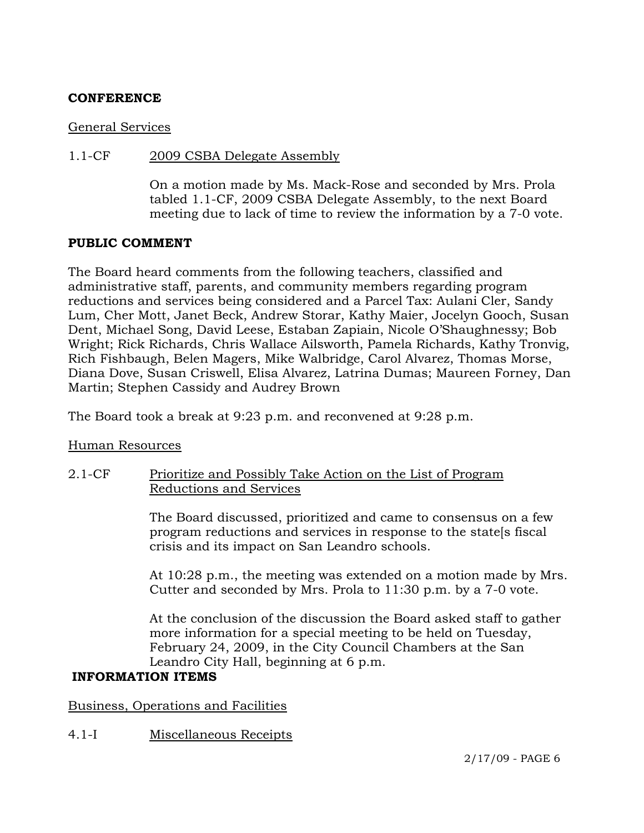## **CONFERENCE**

#### General Services

#### 1.1-CF 2009 CSBA Delegate Assembly

On a motion made by Ms. Mack-Rose and seconded by Mrs. Prola tabled 1.1-CF, 2009 CSBA Delegate Assembly, to the next Board meeting due to lack of time to review the information by a 7-0 vote.

#### **PUBLIC COMMENT**

The Board heard comments from the following teachers, classified and administrative staff, parents, and community members regarding program reductions and services being considered and a Parcel Tax: Aulani Cler, Sandy Lum, Cher Mott, Janet Beck, Andrew Storar, Kathy Maier, Jocelyn Gooch, Susan Dent, Michael Song, David Leese, Estaban Zapiain, Nicole O'Shaughnessy; Bob Wright; Rick Richards, Chris Wallace Ailsworth, Pamela Richards, Kathy Tronvig, Rich Fishbaugh, Belen Magers, Mike Walbridge, Carol Alvarez, Thomas Morse, Diana Dove, Susan Criswell, Elisa Alvarez, Latrina Dumas; Maureen Forney, Dan Martin; Stephen Cassidy and Audrey Brown

The Board took a break at 9:23 p.m. and reconvened at 9:28 p.m.

#### Human Resources

## 2.1-CF Prioritize and Possibly Take Action on the List of Program Reductions and Services

The Board discussed, prioritized and came to consensus on a few program reductions and services in response to the state[s fiscal crisis and its impact on San Leandro schools.

At 10:28 p.m., the meeting was extended on a motion made by Mrs. Cutter and seconded by Mrs. Prola to 11:30 p.m. by a 7-0 vote.

At the conclusion of the discussion the Board asked staff to gather more information for a special meeting to be held on Tuesday, February 24, 2009, in the City Council Chambers at the San Leandro City Hall, beginning at 6 p.m.

## **INFORMATION ITEMS**

Business, Operations and Facilities

4.1-I Miscellaneous Receipts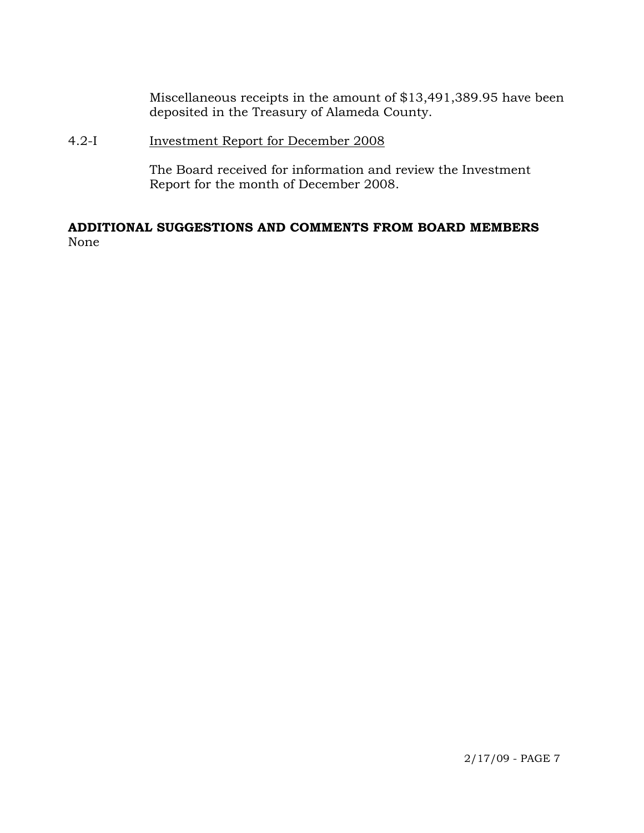Miscellaneous receipts in the amount of \$13,491,389.95 have been deposited in the Treasury of Alameda County.

## 4.2-I Investment Report for December 2008

The Board received for information and review the Investment Report for the month of December 2008.

# **ADDITIONAL SUGGESTIONS AND COMMENTS FROM BOARD MEMBERS**  None